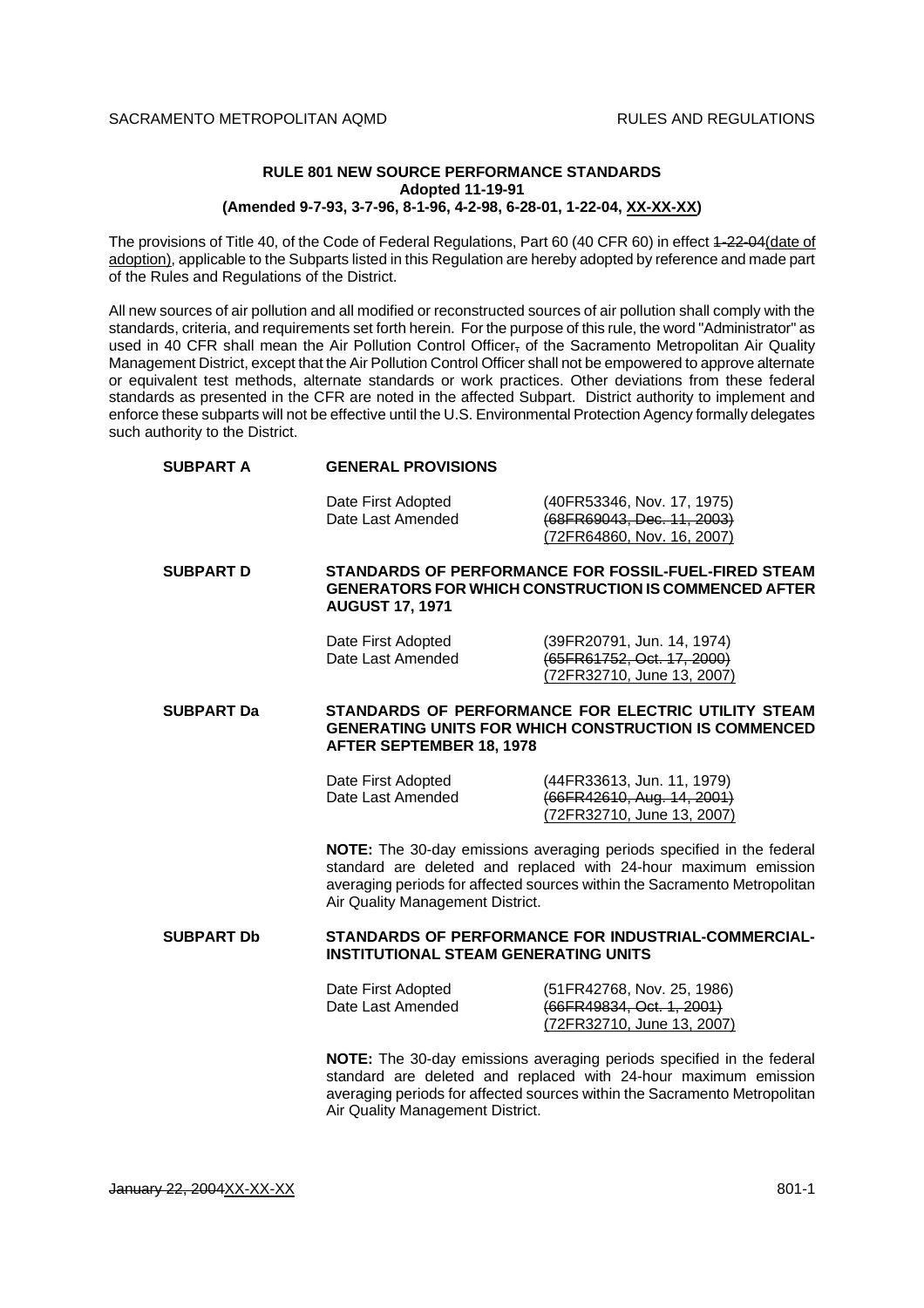## **RULE 801 NEW SOURCE PERFORMANCE STANDARDS Adopted 11-19-91 (Amended 9-7-93, 3-7-96, 8-1-96, 4-2-98, 6-28-01, 1-22-04, XX-XX-XX)**

The provisions of Title 40, of the Code of Federal Regulations, Part 60 (40 CFR 60) in effect 4-22-04(date of adoption), applicable to the Subparts listed in this Regulation are hereby adopted by reference and made part of the Rules and Regulations of the District.

All new sources of air pollution and all modified or reconstructed sources of air pollution shall comply with the standards, criteria, and requirements set forth herein. For the purpose of this rule, the word "Administrator" as used in 40 CFR shall mean the Air Pollution Control Officer, of the Sacramento Metropolitan Air Quality Management District, except that the Air Pollution Control Officer shall not be empowered to approve alternate or equivalent test methods, alternate standards or work practices. Other deviations from these federal standards as presented in the CFR are noted in the affected Subpart. District authority to implement and enforce these subparts will not be effective until the U.S. Environmental Protection Agency formally delegates such authority to the District.

| <b>SUBPART A</b>  | <b>GENERAL PROVISIONS</b>                                                                                                                                                                                                                                 |                                                                                                                                                                                                                       |
|-------------------|-----------------------------------------------------------------------------------------------------------------------------------------------------------------------------------------------------------------------------------------------------------|-----------------------------------------------------------------------------------------------------------------------------------------------------------------------------------------------------------------------|
|                   | Date First Adopted<br>Date Last Amended                                                                                                                                                                                                                   | (40FR53346, Nov. 17, 1975)<br>(68FR69043, Dec. 11, 2003)<br>(72FR64860, Nov. 16, 2007)                                                                                                                                |
| <b>SUBPART D</b>  | STANDARDS OF PERFORMANCE FOR FOSSIL-FUEL-FIRED STEAM<br><b>GENERATORS FOR WHICH CONSTRUCTION IS COMMENCED AFTER</b><br><b>AUGUST 17, 1971</b>                                                                                                             |                                                                                                                                                                                                                       |
|                   | Date First Adopted<br>Date Last Amended                                                                                                                                                                                                                   | (39FR20791, Jun. 14, 1974)<br>(65FR61752, Oct. 17, 2000)<br>(72FR32710, June 13, 2007)                                                                                                                                |
| <b>SUBPART Da</b> | STANDARDS OF PERFORMANCE FOR ELECTRIC UTILITY STEAM<br><b>GENERATING UNITS FOR WHICH CONSTRUCTION IS COMMENCED</b><br><b>AFTER SEPTEMBER 18, 1978</b>                                                                                                     |                                                                                                                                                                                                                       |
|                   | Date First Adopted<br>Date Last Amended                                                                                                                                                                                                                   | (44FR33613, Jun. 11, 1979)<br>(66FR42610, Aug. 14, 2001)<br>(72FR32710, June 13, 2007)                                                                                                                                |
|                   | Air Quality Management District.                                                                                                                                                                                                                          | NOTE: The 30-day emissions averaging periods specified in the federal<br>standard are deleted and replaced with 24-hour maximum emission<br>averaging periods for affected sources within the Sacramento Metropolitan |
| <b>SUBPART Db</b> | STANDARDS OF PERFORMANCE FOR INDUSTRIAL-COMMERCIAL-<br><b>INSTITUTIONAL STEAM GENERATING UNITS</b>                                                                                                                                                        |                                                                                                                                                                                                                       |
|                   | Date First Adopted<br>Date Last Amended                                                                                                                                                                                                                   | (51FR42768, Nov. 25, 1986)<br>(66FR49834, Oct. 1, 2001)<br>(72FR32710, June 13, 2007)                                                                                                                                 |
|                   | NOTE: The 30-day emissions averaging periods specified in the federal<br>standard are deleted and replaced with 24-hour maximum emission<br>averaging periods for affected sources within the Sacramento Metropolitan<br>Air Quality Management District. |                                                                                                                                                                                                                       |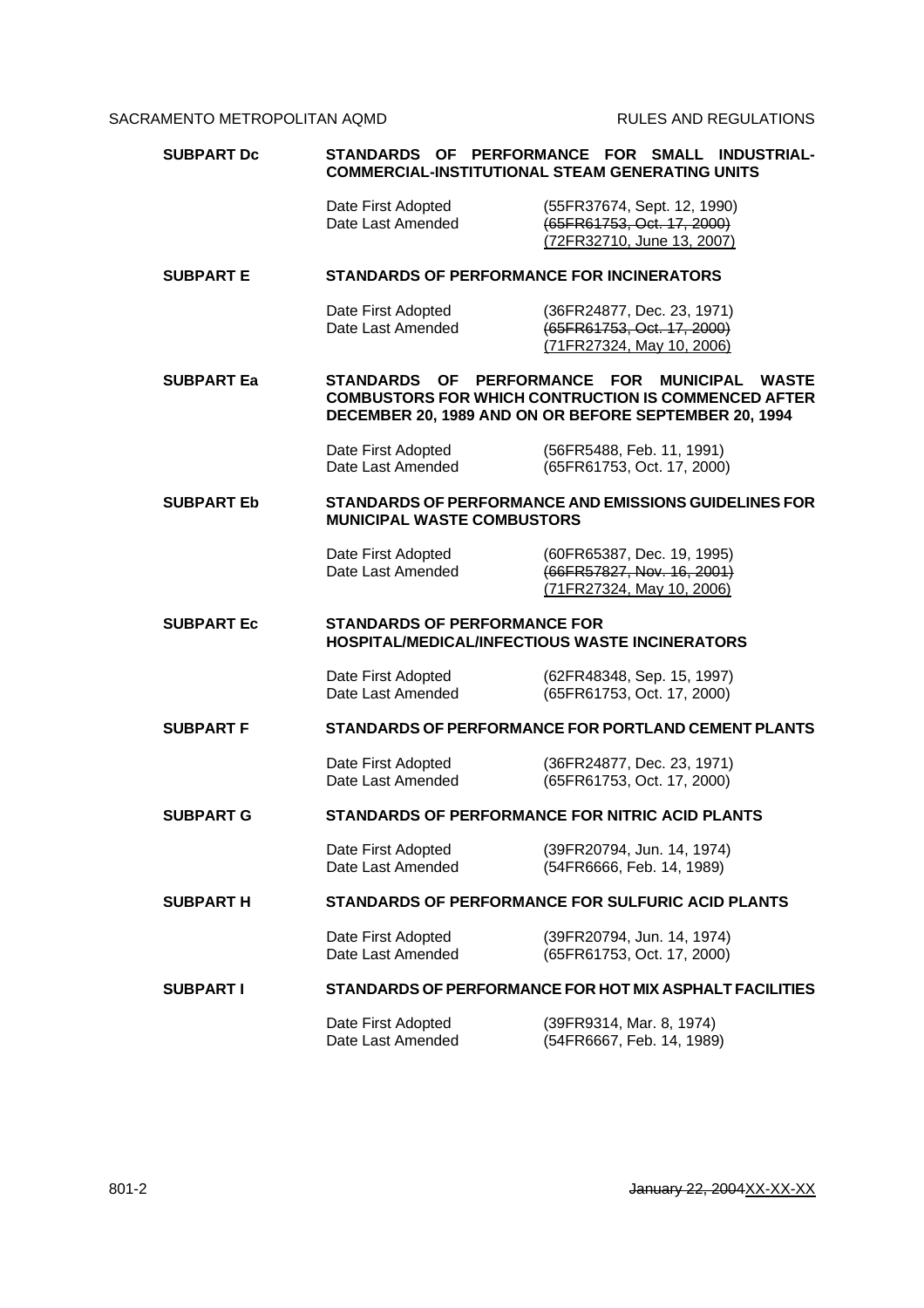| <b>SUBPART Dc</b> | STANDARDS<br>OF PERFORMANCE<br><b>FOR SMALL</b><br><b>INDUSTRIAL-</b><br><b>COMMERCIAL-INSTITUTIONAL STEAM GENERATING UNITS</b>                                                         |                                                                                         |
|-------------------|-----------------------------------------------------------------------------------------------------------------------------------------------------------------------------------------|-----------------------------------------------------------------------------------------|
|                   | Date First Adopted<br>Date Last Amended                                                                                                                                                 | (55FR37674, Sept. 12, 1990)<br>(65FR61753, Oct. 17, 2000)<br>(72FR32710, June 13, 2007) |
| <b>SUBPART E</b>  | <b>STANDARDS OF PERFORMANCE FOR INCINERATORS</b>                                                                                                                                        |                                                                                         |
|                   | Date First Adopted<br>Date Last Amended                                                                                                                                                 | (36FR24877, Dec. 23, 1971)<br>(65FR61753, Oct. 17, 2000)<br>(71FR27324, May 10, 2006)   |
| <b>SUBPART Ea</b> | STANDARDS OF PERFORMANCE FOR<br><b>MUNICIPAL</b><br><b>WASTE</b><br><b>COMBUSTORS FOR WHICH CONTRUCTION IS COMMENCED AFTER</b><br>DECEMBER 20, 1989 AND ON OR BEFORE SEPTEMBER 20, 1994 |                                                                                         |
|                   | Date First Adopted<br>Date Last Amended                                                                                                                                                 | (56FR5488, Feb. 11, 1991)<br>(65FR61753, Oct. 17, 2000)                                 |
| <b>SUBPART Eb</b> | <b>MUNICIPAL WASTE COMBUSTORS</b>                                                                                                                                                       | STANDARDS OF PERFORMANCE AND EMISSIONS GUIDELINES FOR                                   |
|                   | Date First Adopted<br>Date Last Amended                                                                                                                                                 | (60FR65387, Dec. 19, 1995)<br>(66FR57827, Nov. 16, 2001)<br>(71FR27324, May 10, 2006)   |
| <b>SUBPART Ec</b> | <b>STANDARDS OF PERFORMANCE FOR</b><br><b>HOSPITAL/MEDICAL/INFECTIOUS WASTE INCINERATORS</b>                                                                                            |                                                                                         |
|                   | Date First Adopted<br>Date Last Amended                                                                                                                                                 | (62FR48348, Sep. 15, 1997)<br>(65FR61753, Oct. 17, 2000)                                |
| <b>SUBPART F</b>  | <b>STANDARDS OF PERFORMANCE FOR PORTLAND CEMENT PLANTS</b>                                                                                                                              |                                                                                         |
|                   | Date First Adopted<br>Date Last Amended                                                                                                                                                 | (36FR24877, Dec. 23, 1971)<br>(65FR61753, Oct. 17, 2000)                                |
| <b>SUBPART G</b>  | <b>STANDARDS OF PERFORMANCE FOR NITRIC ACID PLANTS</b>                                                                                                                                  |                                                                                         |
|                   | Date First Adopted<br>Date Last Amended                                                                                                                                                 | (39FR20794, Jun. 14, 1974)<br>(54FR6666, Feb. 14, 1989)                                 |
| <b>SUBPART H</b>  | STANDARDS OF PERFORMANCE FOR SULFURIC ACID PLANTS                                                                                                                                       |                                                                                         |
|                   | Date First Adopted<br>Date Last Amended                                                                                                                                                 | (39FR20794, Jun. 14, 1974)<br>(65FR61753, Oct. 17, 2000)                                |
|                   | STANDARDS OF PERFORMANCE FOR HOT MIX ASPHALT FACILITIES                                                                                                                                 |                                                                                         |
| <b>SUBPART I</b>  |                                                                                                                                                                                         |                                                                                         |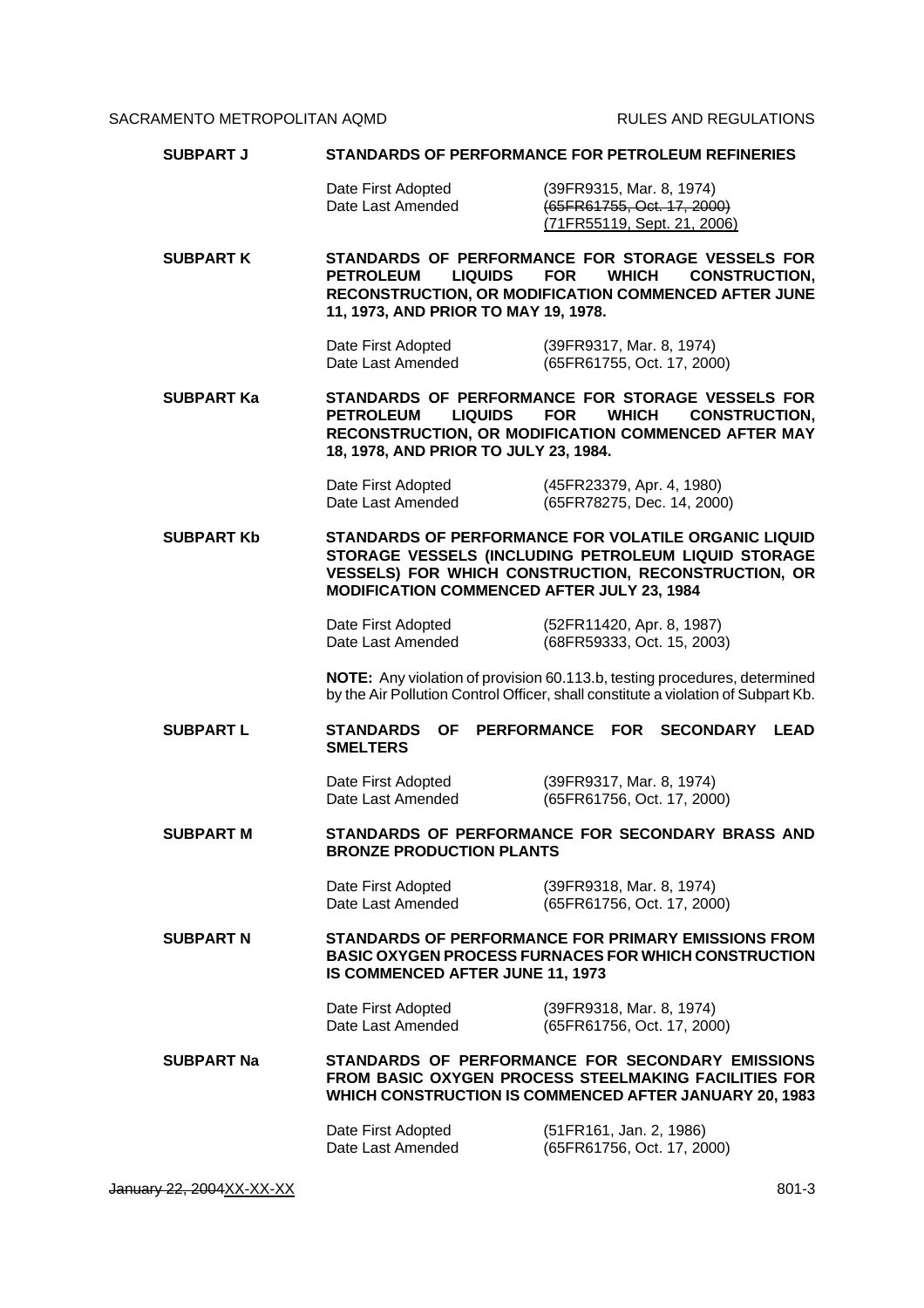| <b>SUBPART J</b>  | <b>STANDARDS OF PERFORMANCE FOR PETROLEUM REFINERIES</b>                                                                                                                                                                                     |                                                                                                                                                                           |
|-------------------|----------------------------------------------------------------------------------------------------------------------------------------------------------------------------------------------------------------------------------------------|---------------------------------------------------------------------------------------------------------------------------------------------------------------------------|
|                   | Date First Adopted<br>Date Last Amended                                                                                                                                                                                                      | (39FR9315, Mar. 8, 1974)<br>(65FR61755, Oct. 17, 2000)<br>(71FR55119, Sept. 21, 2006)                                                                                     |
| <b>SUBPART K</b>  | STANDARDS OF PERFORMANCE FOR STORAGE VESSELS FOR<br><b>PETROLEUM</b><br><b>LIQUIDS</b><br><b>FOR</b><br><b>WHICH</b><br><b>CONSTRUCTION,</b><br>RECONSTRUCTION, OR MODIFICATION COMMENCED AFTER JUNE<br>11, 1973, AND PRIOR TO MAY 19, 1978. |                                                                                                                                                                           |
|                   | Date First Adopted<br>Date Last Amended                                                                                                                                                                                                      | (39FR9317, Mar. 8, 1974)<br>(65FR61755, Oct. 17, 2000)                                                                                                                    |
| <b>SUBPART Ka</b> | <b>PETROLEUM</b><br><b>LIQUIDS</b><br>18, 1978, AND PRIOR TO JULY 23, 1984.                                                                                                                                                                  | STANDARDS OF PERFORMANCE FOR STORAGE VESSELS FOR<br><b>FOR</b><br><b>WHICH</b><br><b>CONSTRUCTION,</b><br>RECONSTRUCTION, OR MODIFICATION COMMENCED AFTER MAY             |
|                   | Date First Adopted<br>Date Last Amended                                                                                                                                                                                                      | (45FR23379, Apr. 4, 1980)<br>(65FR78275, Dec. 14, 2000)                                                                                                                   |
| <b>SUBPART Kb</b> | <b>MODIFICATION COMMENCED AFTER JULY 23, 1984</b>                                                                                                                                                                                            | STANDARDS OF PERFORMANCE FOR VOLATILE ORGANIC LIQUID<br>STORAGE VESSELS (INCLUDING PETROLEUM LIQUID STORAGE<br><b>VESSELS) FOR WHICH CONSTRUCTION, RECONSTRUCTION, OR</b> |
|                   | Date First Adopted<br>Date Last Amended                                                                                                                                                                                                      | (52FR11420, Apr. 8, 1987)<br>(68FR59333, Oct. 15, 2003)                                                                                                                   |
|                   |                                                                                                                                                                                                                                              | NOTE: Any violation of provision 60.113.b, testing procedures, determined<br>by the Air Pollution Control Officer, shall constitute a violation of Subpart Kb.            |
| <b>SUBPART L</b>  | <b>STANDARDS</b><br><b>OF</b><br><b>SMELTERS</b>                                                                                                                                                                                             | PERFORMANCE FOR<br><b>SECONDARY</b><br><b>LEAD</b>                                                                                                                        |
|                   | Date First Adopted<br>Date Last Amended                                                                                                                                                                                                      | (39FR9317, Mar. 8, 1974)<br>(65FR61756, Oct. 17, 2000)                                                                                                                    |
| <b>SUBPART M</b>  | <b>BRONZE PRODUCTION PLANTS</b>                                                                                                                                                                                                              | STANDARDS OF PERFORMANCE FOR SECONDARY BRASS AND                                                                                                                          |
|                   | Date First Adopted<br>Date Last Amended                                                                                                                                                                                                      | (39FR9318, Mar. 8, 1974)<br>(65FR61756, Oct. 17, 2000)                                                                                                                    |
| <b>SUBPART N</b>  | STANDARDS OF PERFORMANCE FOR PRIMARY EMISSIONS FROM<br><b>BASIC OXYGEN PROCESS FURNACES FOR WHICH CONSTRUCTION</b><br>IS COMMENCED AFTER JUNE 11, 1973                                                                                       |                                                                                                                                                                           |
|                   | Date First Adopted<br>Date Last Amended                                                                                                                                                                                                      | (39FR9318, Mar. 8, 1974)<br>(65FR61756, Oct. 17, 2000)                                                                                                                    |
| <b>SUBPART Na</b> | STANDARDS OF PERFORMANCE FOR SECONDARY EMISSIONS<br>FROM BASIC OXYGEN PROCESS STEELMAKING FACILITIES FOR<br>WHICH CONSTRUCTION IS COMMENCED AFTER JANUARY 20, 1983                                                                           |                                                                                                                                                                           |
|                   | Date First Adopted<br>Date Last Amended                                                                                                                                                                                                      | (51FR161, Jan. 2, 1986)<br>(65FR61756, Oct. 17, 2000)                                                                                                                     |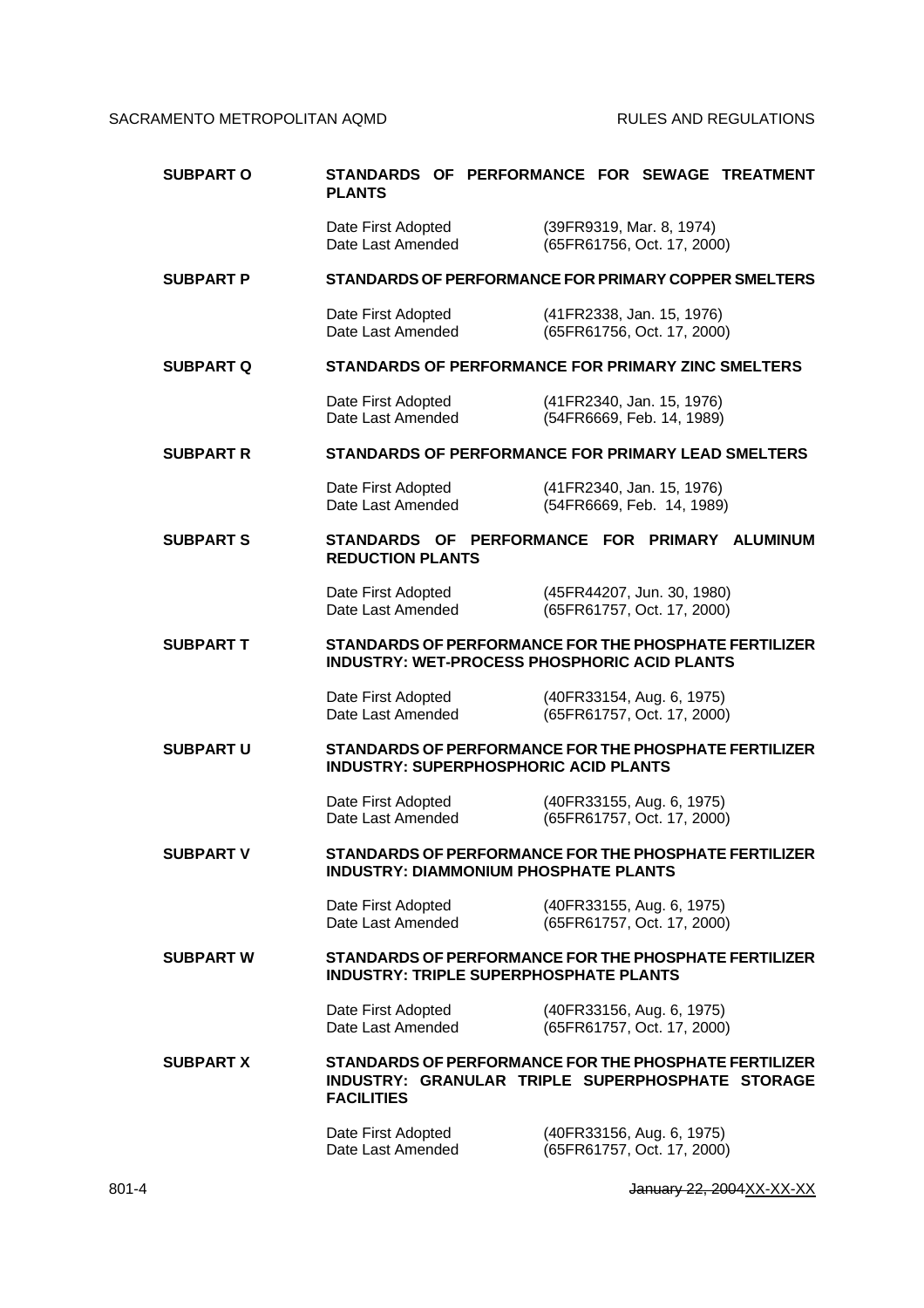| <b>SUBPART O</b> | STANDARDS OF PERFORMANCE FOR SEWAGE TREATMENT<br><b>PLANTS</b>                                                                 |  |                                                          |  |
|------------------|--------------------------------------------------------------------------------------------------------------------------------|--|----------------------------------------------------------|--|
|                  | Date First Adopted<br>Date Last Amended                                                                                        |  | (39FR9319, Mar. 8, 1974)<br>(65FR61756, Oct. 17, 2000)   |  |
| <b>SUBPART P</b> | STANDARDS OF PERFORMANCE FOR PRIMARY COPPER SMELTERS                                                                           |  |                                                          |  |
|                  | Date First Adopted<br>Date Last Amended                                                                                        |  | (41FR2338, Jan. 15, 1976)<br>(65FR61756, Oct. 17, 2000)  |  |
| <b>SUBPART Q</b> | <b>STANDARDS OF PERFORMANCE FOR PRIMARY ZINC SMELTERS</b>                                                                      |  |                                                          |  |
|                  | Date First Adopted<br>Date Last Amended                                                                                        |  | (41FR2340, Jan. 15, 1976)<br>(54FR6669, Feb. 14, 1989)   |  |
| <b>SUBPART R</b> | STANDARDS OF PERFORMANCE FOR PRIMARY LEAD SMELTERS                                                                             |  |                                                          |  |
|                  | Date First Adopted<br>Date Last Amended                                                                                        |  | (41FR2340, Jan. 15, 1976)<br>(54FR6669, Feb. 14, 1989)   |  |
| <b>SUBPART S</b> | STANDARDS OF PERFORMANCE FOR PRIMARY ALUMINUM<br><b>REDUCTION PLANTS</b>                                                       |  |                                                          |  |
|                  | Date First Adopted<br>Date Last Amended                                                                                        |  | (45FR44207, Jun. 30, 1980)<br>(65FR61757, Oct. 17, 2000) |  |
| <b>SUBPART T</b> | STANDARDS OF PERFORMANCE FOR THE PHOSPHATE FERTILIZER<br><b>INDUSTRY: WET-PROCESS PHOSPHORIC ACID PLANTS</b>                   |  |                                                          |  |
|                  | Date First Adopted<br>Date Last Amended                                                                                        |  | (40FR33154, Aug. 6, 1975)<br>(65FR61757, Oct. 17, 2000)  |  |
| <b>SUBPART U</b> | STANDARDS OF PERFORMANCE FOR THE PHOSPHATE FERTILIZER<br><b>INDUSTRY: SUPERPHOSPHORIC ACID PLANTS</b>                          |  |                                                          |  |
|                  | Date First Adopted<br>Date Last Amended                                                                                        |  | (40FR33155, Aug. 6, 1975)<br>(65FR61757, Oct. 17, 2000)  |  |
| SUBPART V        | STANDARDS OF PERFORMANCE FOR THE PHOSPHATE FERTILIZER<br><b>INDUSTRY: DIAMMONIUM PHOSPHATE PLANTS</b>                          |  |                                                          |  |
|                  | Date First Adopted<br>Date Last Amended                                                                                        |  | (40FR33155, Aug. 6, 1975)<br>(65FR61757, Oct. 17, 2000)  |  |
| <b>SUBPART W</b> | STANDARDS OF PERFORMANCE FOR THE PHOSPHATE FERTILIZER<br><b>INDUSTRY: TRIPLE SUPERPHOSPHATE PLANTS</b>                         |  |                                                          |  |
|                  | Date First Adopted<br>Date Last Amended                                                                                        |  | (40FR33156, Aug. 6, 1975)<br>(65FR61757, Oct. 17, 2000)  |  |
| <b>SUBPART X</b> | STANDARDS OF PERFORMANCE FOR THE PHOSPHATE FERTILIZER<br>INDUSTRY: GRANULAR TRIPLE SUPERPHOSPHATE STORAGE<br><b>FACILITIES</b> |  |                                                          |  |
|                  | Date First Adopted<br>Date Last Amended                                                                                        |  | (40FR33156, Aug. 6, 1975)<br>(65FR61757, Oct. 17, 2000)  |  |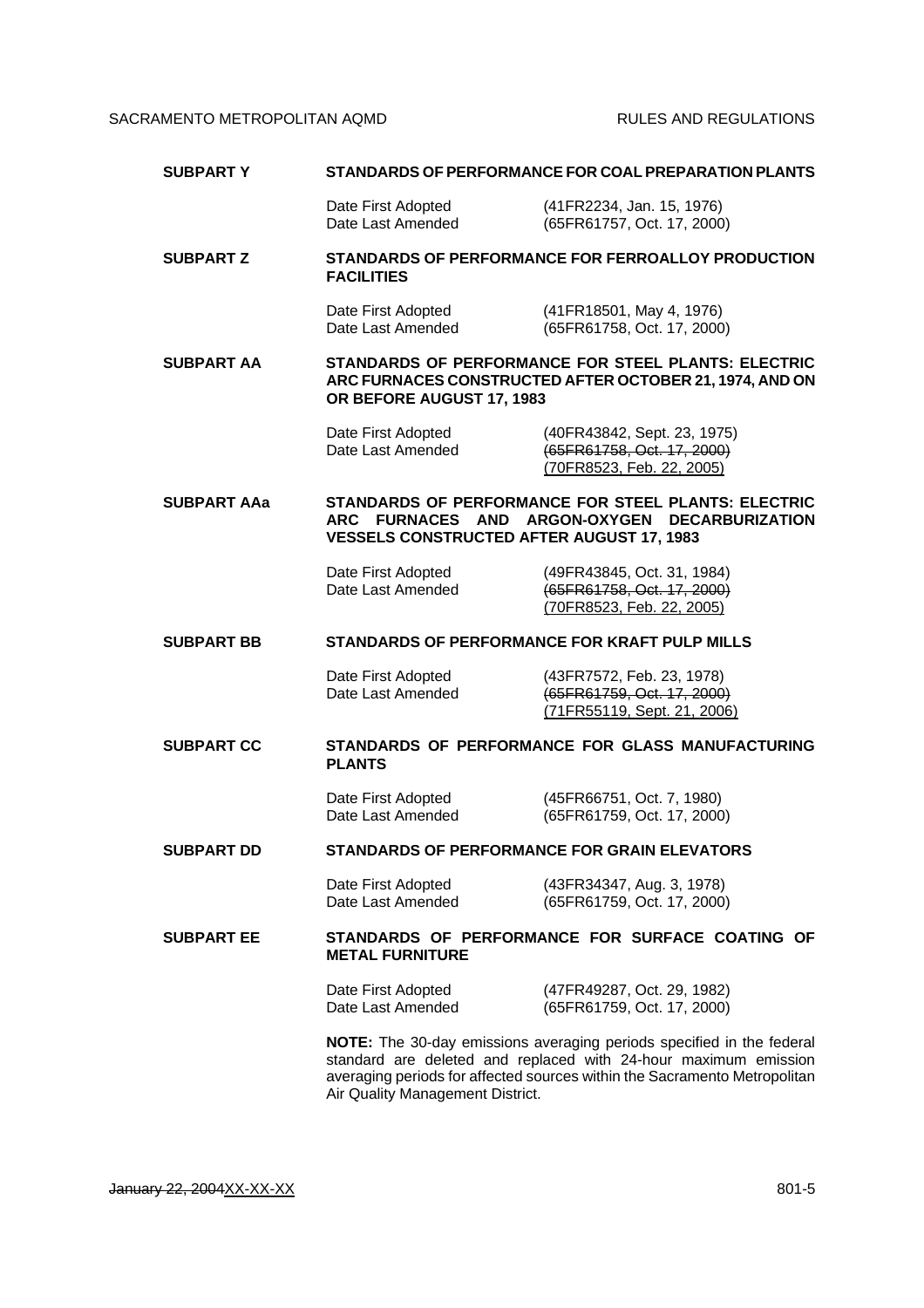| <b>SUBPARTY</b>    | STANDARDS OF PERFORMANCE FOR COAL PREPARATION PLANTS                                                                                                                                                                                                      |                                                                                                                       |  |
|--------------------|-----------------------------------------------------------------------------------------------------------------------------------------------------------------------------------------------------------------------------------------------------------|-----------------------------------------------------------------------------------------------------------------------|--|
|                    | Date First Adopted<br>Date Last Amended                                                                                                                                                                                                                   | (41FR2234, Jan. 15, 1976)<br>(65FR61757, Oct. 17, 2000)                                                               |  |
| <b>SUBPART Z</b>   | STANDARDS OF PERFORMANCE FOR FERROALLOY PRODUCTION<br><b>FACILITIES</b>                                                                                                                                                                                   |                                                                                                                       |  |
|                    | Date First Adopted<br>Date Last Amended                                                                                                                                                                                                                   | (41FR18501, May 4, 1976)<br>(65FR61758, Oct. 17, 2000)                                                                |  |
| <b>SUBPART AA</b>  | OR BEFORE AUGUST 17, 1983                                                                                                                                                                                                                                 | <b>STANDARDS OF PERFORMANCE FOR STEEL PLANTS: ELECTRIC</b><br>ARC FURNACES CONSTRUCTED AFTER OCTOBER 21, 1974, AND ON |  |
|                    | Date First Adopted<br>Date Last Amended                                                                                                                                                                                                                   | (40FR43842, Sept. 23, 1975)<br>(65FR61758, Oct. 17, 2000)<br>(70FR8523, Feb. 22, 2005)                                |  |
| <b>SUBPART AAa</b> | <b>STANDARDS OF PERFORMANCE FOR STEEL PLANTS: ELECTRIC</b><br>ARC FURNACES AND ARGON-OXYGEN<br><b>DECARBURIZATION</b><br><b>VESSELS CONSTRUCTED AFTER AUGUST 17, 1983</b>                                                                                 |                                                                                                                       |  |
|                    | Date First Adopted<br>Date Last Amended                                                                                                                                                                                                                   | (49FR43845, Oct. 31, 1984)<br>(65FR61758, Oct. 17, 2000)<br>(70FR8523, Feb. 22, 2005)                                 |  |
| <b>SUBPART BB</b>  |                                                                                                                                                                                                                                                           | STANDARDS OF PERFORMANCE FOR KRAFT PULP MILLS                                                                         |  |
|                    | Date First Adopted<br>Date Last Amended                                                                                                                                                                                                                   | (43FR7572, Feb. 23, 1978)<br>(65FR61759, Oct. 17, 2000)<br>(71FR55119, Sept. 21, 2006)                                |  |
| <b>SUBPART CC</b>  | STANDARDS OF PERFORMANCE FOR GLASS MANUFACTURING<br><b>PLANTS</b>                                                                                                                                                                                         |                                                                                                                       |  |
|                    | Date First Adopted<br>Date Last Amended                                                                                                                                                                                                                   | (45FR66751, Oct. 7, 1980)<br>(65FR61759, Oct. 17, 2000)                                                               |  |
| <b>SUBPART DD</b>  | <b>STANDARDS OF PERFORMANCE FOR GRAIN ELEVATORS</b>                                                                                                                                                                                                       |                                                                                                                       |  |
|                    | Date First Adopted<br>Date Last Amended                                                                                                                                                                                                                   | (43FR34347, Aug. 3, 1978)<br>(65FR61759, Oct. 17, 2000)                                                               |  |
| <b>SUBPART EE</b>  | STANDARDS OF PERFORMANCE FOR SURFACE COATING OF<br><b>METAL FURNITURE</b>                                                                                                                                                                                 |                                                                                                                       |  |
|                    | Date First Adopted<br>Date Last Amended                                                                                                                                                                                                                   | (47FR49287, Oct. 29, 1982)<br>(65FR61759, Oct. 17, 2000)                                                              |  |
|                    | NOTE: The 30-day emissions averaging periods specified in the federal<br>standard are deleted and replaced with 24-hour maximum emission<br>averaging periods for affected sources within the Sacramento Metropolitan<br>Air Quality Management District. |                                                                                                                       |  |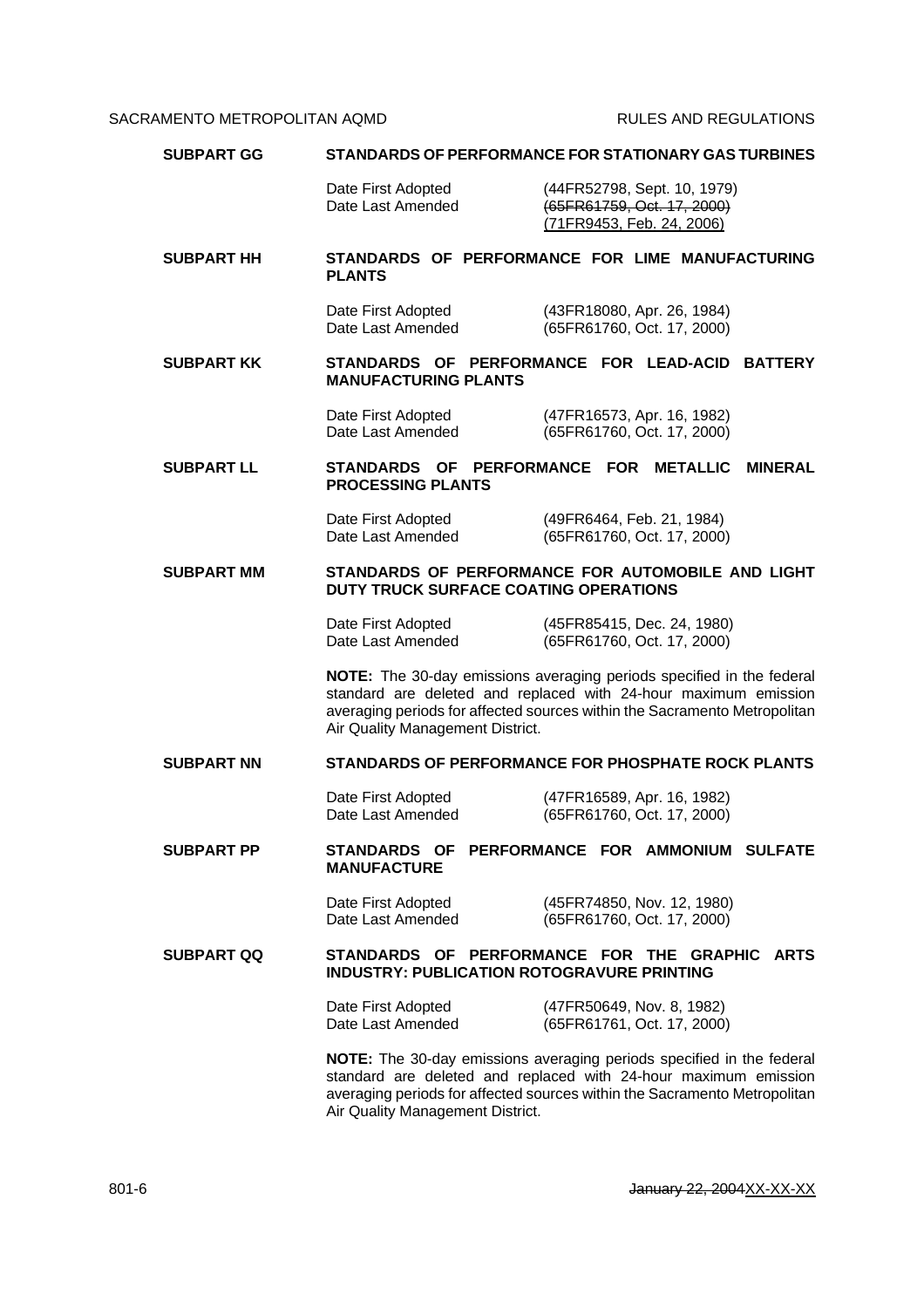| <b>SUBPART GG</b> | <b>STANDARDS OF PERFORMANCE FOR STATIONARY GAS TURBINES</b>                                                                                                                                                                                               |                                                                                                                                                                                                                       |  |
|-------------------|-----------------------------------------------------------------------------------------------------------------------------------------------------------------------------------------------------------------------------------------------------------|-----------------------------------------------------------------------------------------------------------------------------------------------------------------------------------------------------------------------|--|
|                   | Date First Adopted<br>Date Last Amended                                                                                                                                                                                                                   | (44FR52798, Sept. 10, 1979)<br>(65FR61759, Oct. 17, 2000)<br>(71FR9453, Feb. 24, 2006)                                                                                                                                |  |
| <b>SUBPART HH</b> | <b>PLANTS</b>                                                                                                                                                                                                                                             | STANDARDS OF PERFORMANCE FOR LIME MANUFACTURING                                                                                                                                                                       |  |
|                   | Date First Adopted<br>Date Last Amended                                                                                                                                                                                                                   | (43FR18080, Apr. 26, 1984)<br>(65FR61760, Oct. 17, 2000)                                                                                                                                                              |  |
| <b>SUBPART KK</b> | <b>MANUFACTURING PLANTS</b>                                                                                                                                                                                                                               | STANDARDS OF PERFORMANCE FOR LEAD-ACID BATTERY                                                                                                                                                                        |  |
|                   | Date First Adopted<br>Date Last Amended                                                                                                                                                                                                                   | (47FR16573, Apr. 16, 1982)<br>(65FR61760, Oct. 17, 2000)                                                                                                                                                              |  |
| <b>SUBPART LL</b> | STANDARDS OF PERFORMANCE FOR<br><b>PROCESSING PLANTS</b>                                                                                                                                                                                                  | <b>METALLIC</b><br><b>MINERAL</b>                                                                                                                                                                                     |  |
|                   | Date First Adopted<br>Date Last Amended                                                                                                                                                                                                                   | (49FR6464, Feb. 21, 1984)<br>(65FR61760, Oct. 17, 2000)                                                                                                                                                               |  |
| <b>SUBPART MM</b> | STANDARDS OF PERFORMANCE FOR AUTOMOBILE AND LIGHT<br>DUTY TRUCK SURFACE COATING OPERATIONS                                                                                                                                                                |                                                                                                                                                                                                                       |  |
|                   | Date First Adopted<br>Date Last Amended                                                                                                                                                                                                                   | (45FR85415, Dec. 24, 1980)<br>(65FR61760, Oct. 17, 2000)                                                                                                                                                              |  |
|                   | Air Quality Management District.                                                                                                                                                                                                                          | NOTE: The 30-day emissions averaging periods specified in the federal<br>standard are deleted and replaced with 24-hour maximum emission<br>averaging periods for affected sources within the Sacramento Metropolitan |  |
| <b>SUBPART NN</b> | <b>STANDARDS OF PERFORMANCE FOR PHOSPHATE ROCK PLANTS</b>                                                                                                                                                                                                 |                                                                                                                                                                                                                       |  |
|                   | Date First Adopted<br>Date Last Amended                                                                                                                                                                                                                   | (47FR16589, Apr. 16, 1982)<br>(65FR61760, Oct. 17, 2000)                                                                                                                                                              |  |
| <b>SUBPART PP</b> | <b>MANUFACTURE</b>                                                                                                                                                                                                                                        | STANDARDS OF PERFORMANCE FOR AMMONIUM SULFATE                                                                                                                                                                         |  |
|                   | Date First Adopted<br>Date Last Amended                                                                                                                                                                                                                   | (45FR74850, Nov. 12, 1980)<br>(65FR61760, Oct. 17, 2000)                                                                                                                                                              |  |
| <b>SUBPART QQ</b> | STANDARDS OF PERFORMANCE FOR THE GRAPHIC ARTS<br><b>INDUSTRY: PUBLICATION ROTOGRAVURE PRINTING</b>                                                                                                                                                        |                                                                                                                                                                                                                       |  |
|                   | Date First Adopted<br>Date Last Amended                                                                                                                                                                                                                   | (47FR50649, Nov. 8, 1982)<br>(65FR61761, Oct. 17, 2000)                                                                                                                                                               |  |
|                   | NOTE: The 30-day emissions averaging periods specified in the federal<br>standard are deleted and replaced with 24-hour maximum emission<br>averaging periods for affected sources within the Sacramento Metropolitan<br>Air Quality Management District. |                                                                                                                                                                                                                       |  |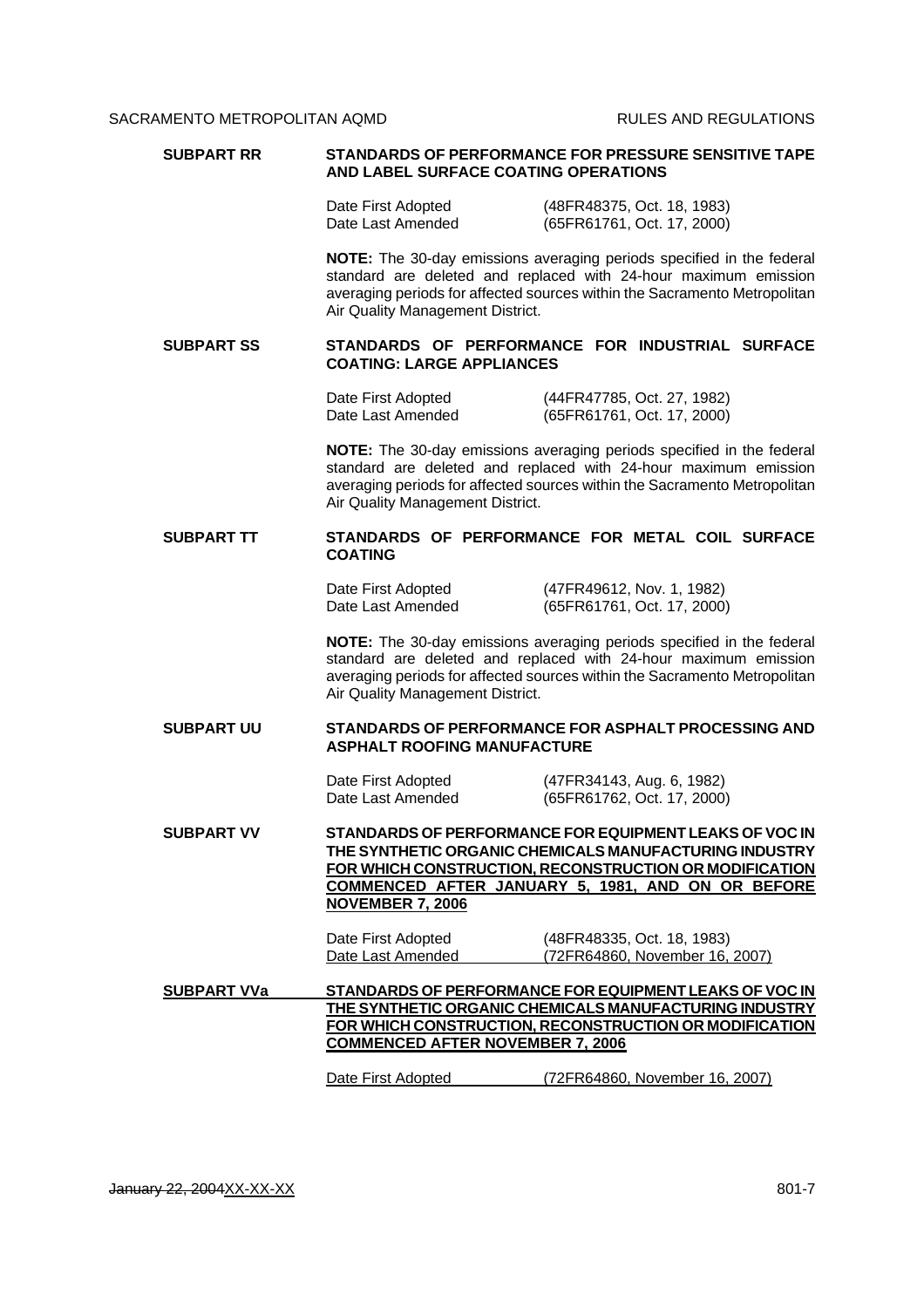| <b>SUBPART RR</b>  | <b>STANDARDS OF PERFORMANCE FOR PRESSURE SENSITIVE TAPE</b><br>AND LABEL SURFACE COATING OPERATIONS                                                                                                                                                        |                                                                                                                                                                                                                       |  |
|--------------------|------------------------------------------------------------------------------------------------------------------------------------------------------------------------------------------------------------------------------------------------------------|-----------------------------------------------------------------------------------------------------------------------------------------------------------------------------------------------------------------------|--|
|                    | Date First Adopted<br>Date Last Amended                                                                                                                                                                                                                    | (48FR48375, Oct. 18, 1983)<br>(65FR61761, Oct. 17, 2000)                                                                                                                                                              |  |
|                    | Air Quality Management District.                                                                                                                                                                                                                           | NOTE: The 30-day emissions averaging periods specified in the federal<br>standard are deleted and replaced with 24-hour maximum emission<br>averaging periods for affected sources within the Sacramento Metropolitan |  |
| <b>SUBPART SS</b>  | <b>COATING: LARGE APPLIANCES</b>                                                                                                                                                                                                                           | STANDARDS OF PERFORMANCE FOR INDUSTRIAL SURFACE                                                                                                                                                                       |  |
|                    | Date First Adopted<br>Date Last Amended                                                                                                                                                                                                                    | (44FR47785, Oct. 27, 1982)<br>(65FR61761, Oct. 17, 2000)                                                                                                                                                              |  |
|                    | Air Quality Management District.                                                                                                                                                                                                                           | NOTE: The 30-day emissions averaging periods specified in the federal<br>standard are deleted and replaced with 24-hour maximum emission<br>averaging periods for affected sources within the Sacramento Metropolitan |  |
| <b>SUBPART TT</b>  | <b>COATING</b>                                                                                                                                                                                                                                             | STANDARDS OF PERFORMANCE FOR METAL COIL SURFACE                                                                                                                                                                       |  |
|                    | Date First Adopted<br>Date Last Amended                                                                                                                                                                                                                    | (47FR49612, Nov. 1, 1982)<br>(65FR61761, Oct. 17, 2000)                                                                                                                                                               |  |
|                    | Air Quality Management District.                                                                                                                                                                                                                           | NOTE: The 30-day emissions averaging periods specified in the federal<br>standard are deleted and replaced with 24-hour maximum emission<br>averaging periods for affected sources within the Sacramento Metropolitan |  |
| <b>SUBPART UU</b>  | <b>ASPHALT ROOFING MANUFACTURE</b>                                                                                                                                                                                                                         | STANDARDS OF PERFORMANCE FOR ASPHALT PROCESSING AND                                                                                                                                                                   |  |
|                    | Date First Adopted<br>Date Last Amended                                                                                                                                                                                                                    | (47FR34143, Aug. 6, 1982)<br>(65FR61762, Oct. 17, 2000)                                                                                                                                                               |  |
| <b>SUBPART VV</b>  | STANDARDS OF PERFORMANCE FOR EQUIPMENT LEAKS OF VOC IN<br>THE SYNTHETIC ORGANIC CHEMICALS MANUFACTURING INDUSTRY<br>FOR WHICH CONSTRUCTION, RECONSTRUCTION OR MODIFICATION<br>COMMENCED AFTER JANUARY 5, 1981, AND ON OR BEFORE<br><b>NOVEMBER 7, 2006</b> |                                                                                                                                                                                                                       |  |
|                    | Date First Adopted<br>Date Last Amended                                                                                                                                                                                                                    | (48FR48335, Oct. 18, 1983)<br>(72FR64860, November 16, 2007)                                                                                                                                                          |  |
| <b>SUBPART VVa</b> |                                                                                                                                                                                                                                                            | STANDARDS OF PERFORMANCE FOR EQUIPMENT LEAKS OF VOC IN                                                                                                                                                                |  |
|                    | THE SYNTHETIC ORGANIC CHEMICALS MANUFACTURING INDUSTRY                                                                                                                                                                                                     |                                                                                                                                                                                                                       |  |
|                    | FOR WHICH CONSTRUCTION, RECONSTRUCTION OR MODIFICATION<br><b>COMMENCED AFTER NOVEMBER 7, 2006</b>                                                                                                                                                          |                                                                                                                                                                                                                       |  |
|                    | Date First Adopted                                                                                                                                                                                                                                         | (72FR64860, November 16, 2007)                                                                                                                                                                                        |  |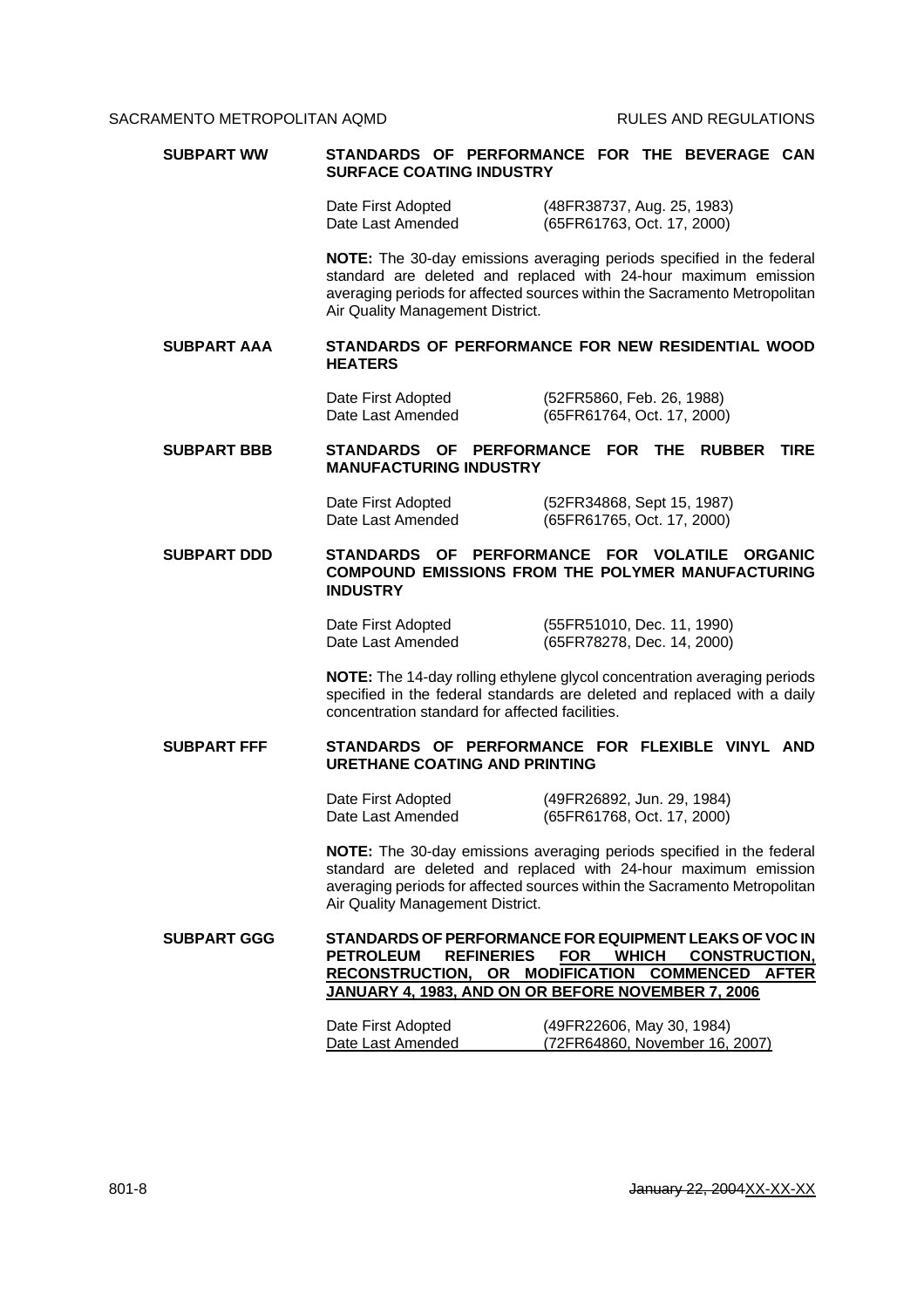| <b>SUBPART WW</b>  | STANDARDS OF PERFORMANCE FOR THE BEVERAGE CAN<br><b>SURFACE COATING INDUSTRY</b>                                                                                                                                                                                         |
|--------------------|--------------------------------------------------------------------------------------------------------------------------------------------------------------------------------------------------------------------------------------------------------------------------|
|                    | Date First Adopted<br>(48FR38737, Aug. 25, 1983)<br>Date Last Amended<br>(65FR61763, Oct. 17, 2000)                                                                                                                                                                      |
|                    | NOTE: The 30-day emissions averaging periods specified in the federal<br>standard are deleted and replaced with 24-hour maximum emission<br>averaging periods for affected sources within the Sacramento Metropolitan<br>Air Quality Management District.                |
| <b>SUBPART AAA</b> | STANDARDS OF PERFORMANCE FOR NEW RESIDENTIAL WOOD<br><b>HEATERS</b>                                                                                                                                                                                                      |
|                    | (52FR5860, Feb. 26, 1988)<br>Date First Adopted<br>Date Last Amended<br>(65FR61764, Oct. 17, 2000)                                                                                                                                                                       |
| <b>SUBPART BBB</b> | STANDARDS OF PERFORMANCE FOR THE<br><b>RUBBER</b><br><b>TIRE</b><br><b>MANUFACTURING INDUSTRY</b>                                                                                                                                                                        |
|                    | Date First Adopted<br>(52FR34868, Sept 15, 1987)<br>Date Last Amended<br>(65FR61765, Oct. 17, 2000)                                                                                                                                                                      |
| <b>SUBPART DDD</b> | STANDARDS OF PERFORMANCE FOR VOLATILE<br><b>ORGANIC</b><br><b>COMPOUND EMISSIONS FROM THE POLYMER MANUFACTURING</b><br><b>INDUSTRY</b>                                                                                                                                   |
|                    | Date First Adopted<br>(55FR51010, Dec. 11, 1990)<br>Date Last Amended<br>(65FR78278, Dec. 14, 2000)                                                                                                                                                                      |
|                    | <b>NOTE:</b> The 14-day rolling ethylene glycol concentration averaging periods<br>specified in the federal standards are deleted and replaced with a daily<br>concentration standard for affected facilities.                                                           |
| <b>SUBPART FFF</b> | STANDARDS OF PERFORMANCE FOR FLEXIBLE VINYL AND<br><b>URETHANE COATING AND PRINTING</b>                                                                                                                                                                                  |
|                    | Date First Adopted<br>(49FR26892, Jun. 29, 1984)<br>Date Last Amended<br>(65FR61768, Oct. 17, 2000)                                                                                                                                                                      |
|                    | NOTE: The 30-day emissions averaging periods specified in the federal<br>standard are deleted and replaced with 24-hour maximum emission<br>averaging periods for affected sources within the Sacramento Metropolitan<br>Air Quality Management District.                |
| <b>SUBPART GGG</b> | STANDARDS OF PERFORMANCE FOR EQUIPMENT LEAKS OF VOC IN<br><b>PETROLEUM</b><br><b>REFINERIES</b><br><b>FOR</b><br><b>WHICH</b><br><b>CONSTRUCTION,</b><br>RECONSTRUCTION, OR MODIFICATION COMMENCED<br><b>AFTER</b><br>JANUARY 4, 1983, AND ON OR BEFORE NOVEMBER 7, 2006 |
|                    | (49FR22606, May 30, 1984)<br>Date First Adopted<br>Date Last Amended<br>(72FR64860, November 16, 2007)                                                                                                                                                                   |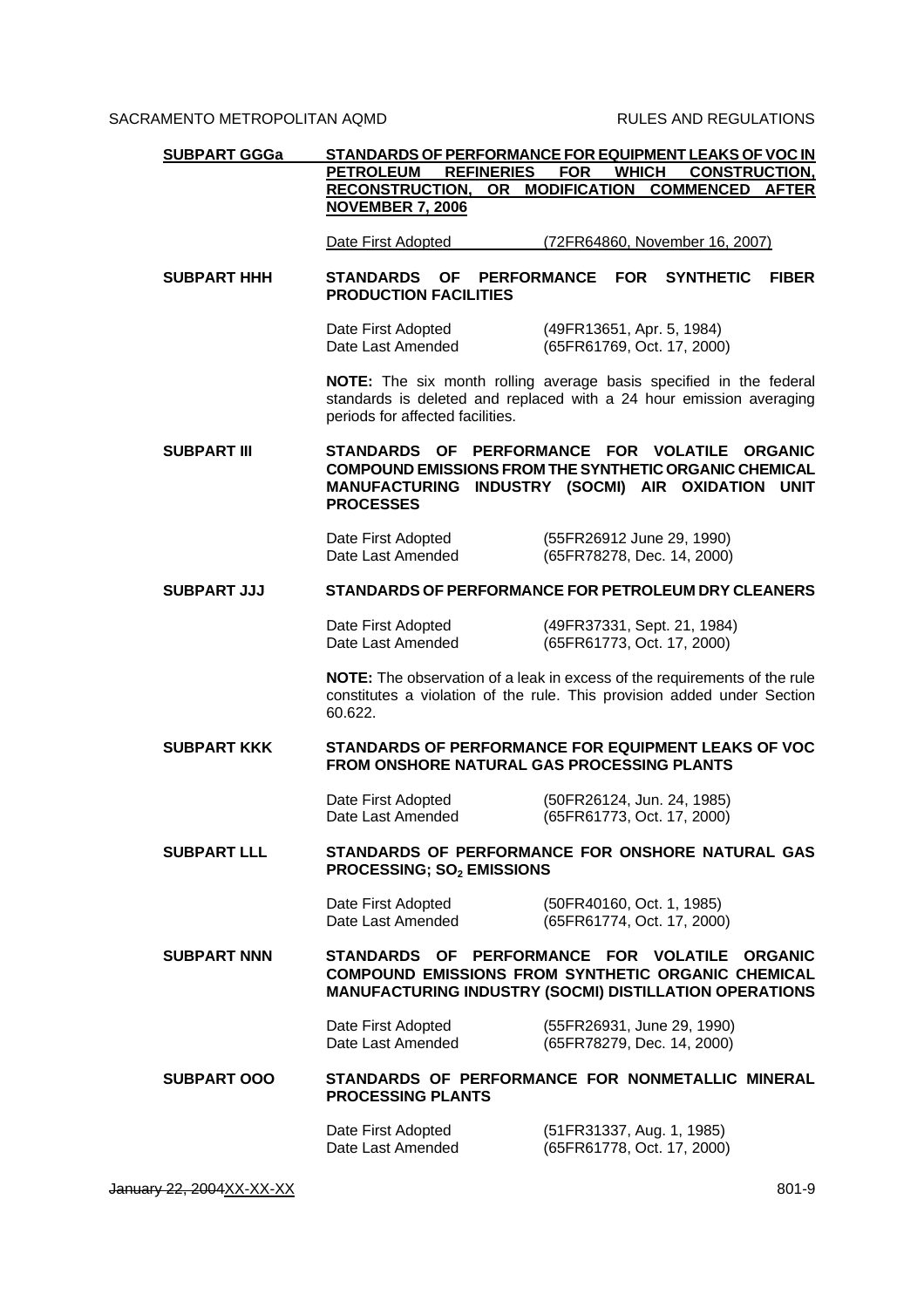| <b>SUBPART GGGa</b> |                                                                                            | STANDARDS OF PERFORMANCE FOR EQUIPMENT LEAKS OF VOC IN                                                                                               |
|---------------------|--------------------------------------------------------------------------------------------|------------------------------------------------------------------------------------------------------------------------------------------------------|
|                     | <b>REFINERIES</b><br><b>PETROLEUM</b><br><b>RECONSTRUCTION,</b><br><b>NOVEMBER 7, 2006</b> | <b>WHICH</b><br><b>CONSTRUCTION,</b><br><b>FOR</b><br>OR MODIFICATION COMMENCED<br><b>AFTER</b>                                                      |
|                     | Date First Adopted                                                                         | (72FR64860, November 16, 2007)                                                                                                                       |
| <b>SUBPART HHH</b>  | <b>PERFORMANCE</b><br><b>STANDARDS</b><br><b>OF</b><br><b>PRODUCTION FACILITIES</b>        | <b>SYNTHETIC</b><br><b>FOR</b><br><b>FIBER</b>                                                                                                       |
|                     | Date First Adopted<br>Date Last Amended                                                    | (49FR13651, Apr. 5, 1984)<br>(65FR61769, Oct. 17, 2000)                                                                                              |
|                     | periods for affected facilities.                                                           | NOTE: The six month rolling average basis specified in the federal<br>standards is deleted and replaced with a 24 hour emission averaging            |
| <b>SUBPART III</b>  | <b>STANDARDS OF</b><br><b>MANUFACTURING</b><br><b>PROCESSES</b>                            | PERFORMANCE FOR VOLATILE<br><b>ORGANIC</b><br><b>COMPOUND EMISSIONS FROM THE SYNTHETIC ORGANIC CHEMICAL</b><br>INDUSTRY (SOCMI) AIR OXIDATION UNIT   |
|                     | Date First Adopted<br>Date Last Amended                                                    | (55FR26912 June 29, 1990)<br>(65FR78278, Dec. 14, 2000)                                                                                              |
| <b>SUBPART JJJ</b>  |                                                                                            | STANDARDS OF PERFORMANCE FOR PETROLEUM DRY CLEANERS                                                                                                  |
|                     | Date First Adopted<br>Date Last Amended                                                    | (49FR37331, Sept. 21, 1984)<br>(65FR61773, Oct. 17, 2000)                                                                                            |
|                     | 60.622.                                                                                    | NOTE: The observation of a leak in excess of the requirements of the rule<br>constitutes a violation of the rule. This provision added under Section |
| <b>SUBPART KKK</b>  | <b>FROM ONSHORE NATURAL GAS PROCESSING PLANTS</b>                                          | STANDARDS OF PERFORMANCE FOR EQUIPMENT LEAKS OF VOC                                                                                                  |
|                     | Date First Adopted<br>Date Last Amended                                                    | (50FR26124, Jun. 24, 1985)<br>(65FR61773, Oct. 17, 2000)                                                                                             |
| <b>SUBPART LLL</b>  | <b>PROCESSING; SO<sub>2</sub> EMISSIONS</b>                                                | STANDARDS OF PERFORMANCE FOR ONSHORE NATURAL GAS                                                                                                     |
|                     | Date First Adopted<br>Date Last Amended                                                    | (50FR40160, Oct. 1, 1985)<br>(65FR61774, Oct. 17, 2000)                                                                                              |
| <b>SUBPART NNN</b>  | STANDARDS OF PERFORMANCE FOR VOLATILE                                                      | <b>ORGANIC</b><br><b>COMPOUND EMISSIONS FROM SYNTHETIC ORGANIC CHEMICAL</b><br><b>MANUFACTURING INDUSTRY (SOCMI) DISTILLATION OPERATIONS</b>         |
|                     | Date First Adopted<br>Date Last Amended                                                    | (55FR26931, June 29, 1990)<br>(65FR78279, Dec. 14, 2000)                                                                                             |
| <b>SUBPART OOO</b>  | STANDARDS OF PERFORMANCE FOR NONMETALLIC MINERAL<br><b>PROCESSING PLANTS</b>               |                                                                                                                                                      |
|                     | Date First Adopted<br>Date Last Amended                                                    | (51FR31337, Aug. 1, 1985)<br>(65FR61778, Oct. 17, 2000)                                                                                              |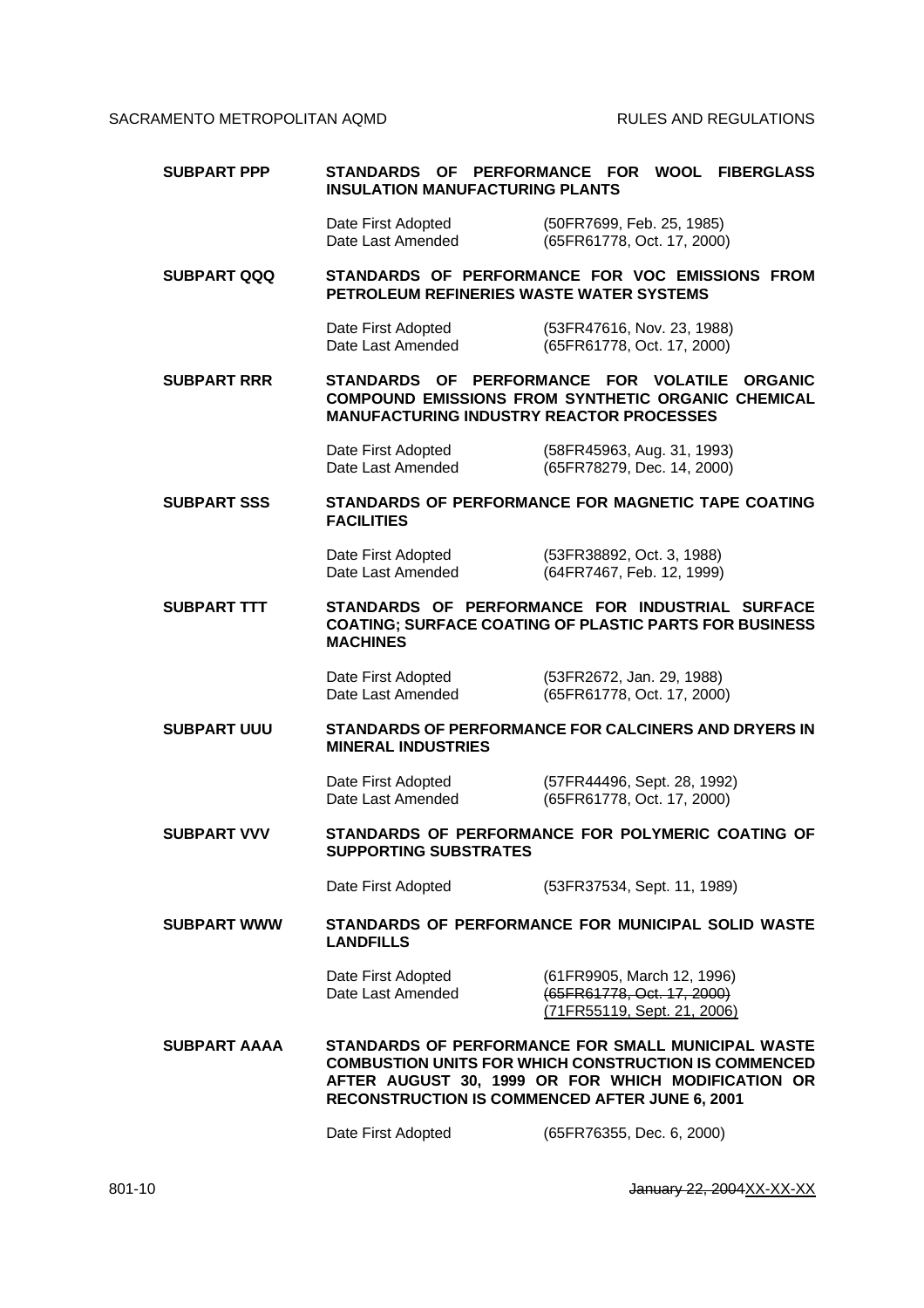| <b>SUBPART PPP</b>  | STANDARDS OF PERFORMANCE FOR<br>WOOL<br><b>FIBERGLASS</b><br><b>INSULATION MANUFACTURING PLANTS</b>                                                                                                                              |                                                                                                                  |
|---------------------|----------------------------------------------------------------------------------------------------------------------------------------------------------------------------------------------------------------------------------|------------------------------------------------------------------------------------------------------------------|
|                     | Date First Adopted<br>Date Last Amended                                                                                                                                                                                          | (50FR7699, Feb. 25, 1985)<br>(65FR61778, Oct. 17, 2000)                                                          |
| <b>SUBPART QQQ</b>  | PETROLEUM REFINERIES WASTE WATER SYSTEMS                                                                                                                                                                                         | STANDARDS OF PERFORMANCE FOR VOC EMISSIONS FROM                                                                  |
|                     | Date First Adopted<br>Date Last Amended                                                                                                                                                                                          | (53FR47616, Nov. 23, 1988)<br>(65FR61778, Oct. 17, 2000)                                                         |
| <b>SUBPART RRR</b>  | STANDARDS OF PERFORMANCE FOR VOLATILE<br><b>MANUFACTURING INDUSTRY REACTOR PROCESSES</b>                                                                                                                                         | <b>ORGANIC</b><br><b>COMPOUND EMISSIONS FROM SYNTHETIC ORGANIC CHEMICAL</b>                                      |
|                     | Date First Adopted<br>Date Last Amended                                                                                                                                                                                          | (58FR45963, Aug. 31, 1993)<br>(65FR78279, Dec. 14, 2000)                                                         |
| <b>SUBPART SSS</b>  | <b>FACILITIES</b>                                                                                                                                                                                                                | STANDARDS OF PERFORMANCE FOR MAGNETIC TAPE COATING                                                               |
|                     | Date First Adopted<br>Date Last Amended                                                                                                                                                                                          | (53FR38892, Oct. 3, 1988)<br>(64FR7467, Feb. 12, 1999)                                                           |
| <b>SUBPART TTT</b>  | <b>MACHINES</b>                                                                                                                                                                                                                  | STANDARDS OF PERFORMANCE FOR INDUSTRIAL SURFACE<br><b>COATING: SURFACE COATING OF PLASTIC PARTS FOR BUSINESS</b> |
|                     | Date First Adopted<br>Date Last Amended                                                                                                                                                                                          | (53FR2672, Jan. 29, 1988)<br>(65FR61778, Oct. 17, 2000)                                                          |
| <b>SUBPART UUU</b>  | STANDARDS OF PERFORMANCE FOR CALCINERS AND DRYERS IN<br><b>MINERAL INDUSTRIES</b>                                                                                                                                                |                                                                                                                  |
|                     | Date First Adopted<br>Date Last Amended                                                                                                                                                                                          | (57FR44496, Sept. 28, 1992)<br>(65FR61778, Oct. 17, 2000)                                                        |
| <b>SUBPART VVV</b>  | <b>SUPPORTING SUBSTRATES</b>                                                                                                                                                                                                     | STANDARDS OF PERFORMANCE FOR POLYMERIC COATING OF                                                                |
|                     | Date First Adopted                                                                                                                                                                                                               | (53FR37534, Sept. 11, 1989)                                                                                      |
| <b>SUBPART WWW</b>  | <b>LANDFILLS</b>                                                                                                                                                                                                                 | STANDARDS OF PERFORMANCE FOR MUNICIPAL SOLID WASTE                                                               |
|                     | Date First Adopted<br>Date Last Amended                                                                                                                                                                                          | (61FR9905, March 12, 1996)<br>(65FR61778, Oct. 17, 2000)<br>(71FR55119, Sept. 21, 2006)                          |
| <b>SUBPART AAAA</b> | STANDARDS OF PERFORMANCE FOR SMALL MUNICIPAL WASTE<br><b>COMBUSTION UNITS FOR WHICH CONSTRUCTION IS COMMENCED</b><br>AFTER AUGUST 30, 1999 OR FOR WHICH MODIFICATION OR<br><b>RECONSTRUCTION IS COMMENCED AFTER JUNE 6, 2001</b> |                                                                                                                  |
|                     | Date First Adopted                                                                                                                                                                                                               | (65FR76355, Dec. 6, 2000)                                                                                        |

801-10 **January 22, 2004** XX-XX-XX